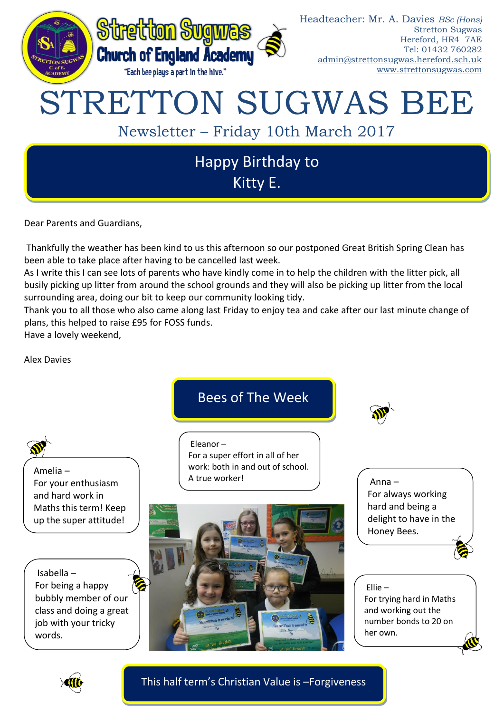

Dear Parents and Guardians,

Thankfully the weather has been kind to us this afternoon so our postponed Great British Spring Clean has been able to take place after having to be cancelled last week.

As I write this I can see lots of parents who have kindly come in to help the children with the litter pick, all busily picking up litter from around the school grounds and they will also be picking up litter from the local surrounding area, doing our bit to keep our community looking tidy.

Thank you to all those who also came along last Friday to enjoy tea and cake after our last minute change of plans, this helped to raise £95 for FOSS funds.

Have a lovely weekend,

Alex Davies





This half term's Christian Value is –Forgiveness